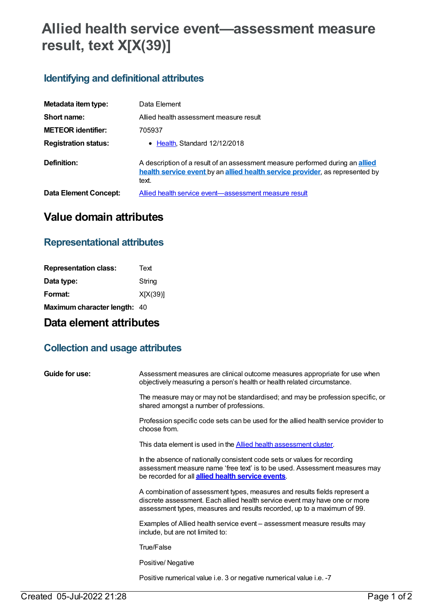# **Allied health service event—assessment measure result, text X[X(39)]**

### **Identifying and definitional attributes**

| Metadata item type:         | Data Element                                                                                                                                                                  |
|-----------------------------|-------------------------------------------------------------------------------------------------------------------------------------------------------------------------------|
| Short name:                 | Allied health assessment measure result                                                                                                                                       |
| <b>METEOR identifier:</b>   | 705937                                                                                                                                                                        |
| <b>Registration status:</b> | $\bullet$ Health Standard 12/12/2018                                                                                                                                          |
| Definition:                 | A description of a result of an assessment measure performed during an <b>allied</b><br>health service event by an allied health service provider, as represented by<br>text. |
| Data Element Concept:       | Allied health service event-assessment measure result                                                                                                                         |

# **Value domain attributes**

#### **Representational attributes**

| Text                         |
|------------------------------|
| String                       |
| X[X(39)]                     |
| Maximum character length: 40 |
|                              |

## **Data element attributes**

### **Collection and usage attributes**

| Guide for use: | Assessment measures are clinical outcome measures appropriate for use when<br>objectively measuring a person's health or health related circumstance.                                                                               |
|----------------|-------------------------------------------------------------------------------------------------------------------------------------------------------------------------------------------------------------------------------------|
|                | The measure may or may not be standardised; and may be profession specific, or<br>shared amongst a number of professions.                                                                                                           |
|                | Profession specific code sets can be used for the allied health service provider to<br>choose from.                                                                                                                                 |
|                | This data element is used in the Allied health assessment cluster.                                                                                                                                                                  |
|                | In the absence of nationally consistent code sets or values for recording<br>assessment measure name 'free text' is to be used. Assessment measures may<br>be recorded for all <b>allied health service events</b> .                |
|                | A combination of assessment types, measures and results fields represent a<br>discrete assessment. Each allied health service event may have one or more<br>assessment types, measures and results recorded, up to a maximum of 99. |
|                | Examples of Allied health service event - assessment measure results may<br>include, but are not limited to:                                                                                                                        |
|                | <b>True/False</b>                                                                                                                                                                                                                   |
|                | Positive/Negative                                                                                                                                                                                                                   |
|                | Positive numerical value i.e. 3 or negative numerical value i.e. -7                                                                                                                                                                 |